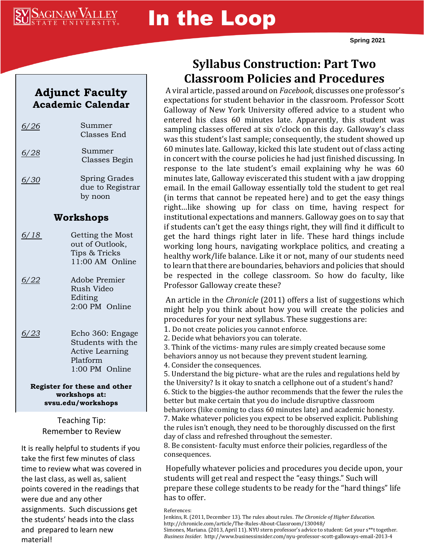

# In the Loop

### **Adjunct Faculty Academic Calendar**

| 6/26                                                                | Summer<br>Classes End                                                                         |
|---------------------------------------------------------------------|-----------------------------------------------------------------------------------------------|
| <u>6/28</u>                                                         | Summer<br>Classes Begin                                                                       |
| 6/30                                                                | Spring Grades<br>due to Registrar<br>by noon                                                  |
| Workshops                                                           |                                                                                               |
| <u>6/18</u>                                                         | Getting the Most<br>out of Outlook,<br>Tips & Tricks<br>11:00 AM Online                       |
| 6/22                                                                | Adobe Premier<br>Rush Video<br>Editing<br>2:00 PM Online                                      |
| 6/23                                                                | Echo 360: Engage<br>Students with the<br><b>Active Learning</b><br>Platform<br>1:00 PM Online |
| Register for these and other<br>workshops at:<br>svsu.edu/workshops |                                                                                               |

Teaching Tip: Remember to Review

It is really helpful to students if you take the first few minutes of class time to review what was covered in the last class, as well as, salient points covered in the readings that were due and any other assignments. Such discussions get the students' heads into the class and prepared to learn new material!

# **Syllabus Construction: Part Two Classroom Policies and Procedures**

A viral article, passed around on *Facebook,* discusses one professor's expectations for student behavior in the classroom. Professor Scott Galloway of New York University offered advice to a student who entered his class 60 minutes late. Apparently, this student was sampling classes offered at six o'clock on this day. Galloway's class was this student's last sample; consequently, the student showed up 60 minutes late. Galloway, kicked this late student out of class acting in concert with the course policies he had just finished discussing. In response to the late student's email explaining why he was 60 minutes late, Galloway eviscerated this student with a jaw dropping email. In the email Galloway essentially told the student to get real (in terms that cannot be repeated here) and to get the easy things right…like showing up for class on time, having respect for institutional expectations and manners. Galloway goes on to say that if students can't get the easy things right, they will find it difficult to get the hard things right later in life. These hard things include working long hours, navigating workplace politics, and creating a healthy work/life balance. Like it or not, many of our students need to learn that there are boundaries, behaviors and policies that should be respected in the college classroom. So how do faculty, like Professor Galloway create these?

An article in the *Chronicle* (2011) offers a list of suggestions which might help you think about how you will create the policies and procedures for your next syllabus. These suggestions are:

1. Do not create policies you cannot enforce. 2. Decide what behaviors you can tolerate.

3. Think of the victims- many rules are simply created because some behaviors annoy us not because they prevent student learning. 4. Consider the consequences.

5. Understand the big picture- what are the rules and regulations held by the University? Is it okay to snatch a cellphone out of a student's hand? 6. Stick to the biggies-the author recommends that the fewer the rules the better but make certain that you do include disruptive classroom behaviors (like coming to class 60 minutes late) and academic honesty. 7. Make whatever policies you expect to be observed explicit. Publishing the rules isn't enough, they need to be thoroughly discussed on the first day of class and refreshed throughout the semester.

8. Be consistent- faculty must enforce their policies, regardless of the consequences.

Hopefully whatever policies and procedures you decide upon, your students will get real and respect the "easy things." Such will prepare these college students to be ready for the "hard things" life has to offer.

References:

*Business Insider*. http://www.businessinsider.com/nyu-professor-scott-galloways-email-2013-4

Jenkins, R. (2011, December 13). The rules about rules. *The Chronicle of Higher Education.*  http://chronicle.com/article/The-Rules-About-Classroom/130048/ Simones, Mariana. (2013, April 11). NYU stern professor's advice to student: Get your s\*\*t together.